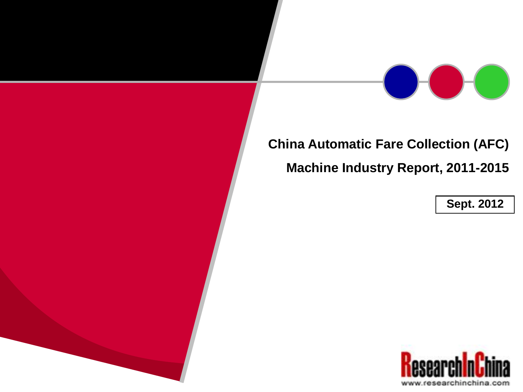

## **China Automatic Fare Collection (AFC) Machine Industry Report, 2011-2015**

**Sept. 2012**

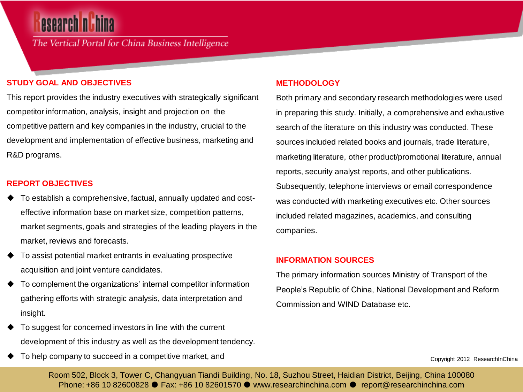## **esearch nich**

The Vertical Portal for China Business Intelligence

#### **STUDY GOAL AND OBJECTIVES**

This report provides the industry executives with strategically significant competitor information, analysis, insight and projection on the competitive pattern and key companies in the industry, crucial to the development and implementation of effective business, marketing and R&D programs.

#### **REPORT OBJECTIVES**

- To establish a comprehensive, factual, annually updated and costeffective information base on market size, competition patterns, market segments, goals and strategies of the leading players in the market, reviews and forecasts.
- To assist potential market entrants in evaluating prospective acquisition and joint venture candidates.
- To complement the organizations' internal competitor information gathering efforts with strategic analysis, data interpretation and insight.
- To suggest for concerned investors in line with the current development of this industry as well as the development tendency.
- To help company to succeed in a competitive market, and

#### **METHODOLOGY**

Both primary and secondary research methodologies were used in preparing this study. Initially, a comprehensive and exhaustive search of the literature on this industry was conducted. These sources included related books and journals, trade literature, marketing literature, other product/promotional literature, annual reports, security analyst reports, and other publications. Subsequently, telephone interviews or email correspondence was conducted with marketing executives etc. Other sources included related magazines, academics, and consulting companies.

#### **INFORMATION SOURCES**

The primary information sources Ministry of Transport of the People's Republic of China, National Development and Reform Commission and WIND Database etc.

Copyright 2012 ResearchInChina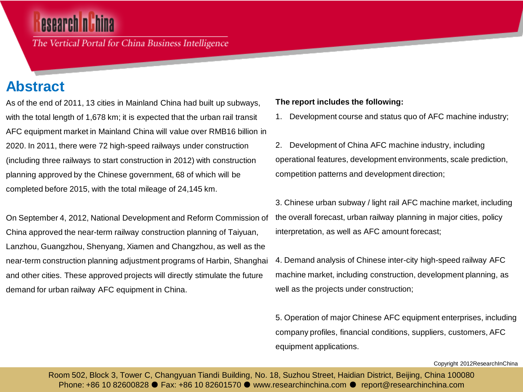The Vertical Portal for China Business Intelligence

### **Abstract**

As of the end of 2011, 13 cities in Mainland China had built up subways, with the total length of 1,678 km; it is expected that the urban rail transit AFC equipment market in Mainland China will value over RMB16 billion in 2020. In 2011, there were 72 high-speed railways under construction (including three railways to start construction in 2012) with construction planning approved by the Chinese government, 68 of which will be completed before 2015, with the total mileage of 24,145 km.

On September 4, 2012, National Development and Reform Commission of China approved the near-term railway construction planning of Taiyuan, Lanzhou, Guangzhou, Shenyang, Xiamen and Changzhou, as well as the near-term construction planning adjustment programs of Harbin, Shanghai and other cities. These approved projects will directly stimulate the future demand for urban railway AFC equipment in China.

#### **The report includes the following:**

1. Development course and status quo of AFC machine industry;

2. Development of China AFC machine industry, including operational features, development environments, scale prediction, competition patterns and development direction;

3. Chinese urban subway / light rail AFC machine market, including the overall forecast, urban railway planning in major cities, policy interpretation, as well as AFC amount forecast;

4. Demand analysis of Chinese inter-city high-speed railway AFC machine market, including construction, development planning, as well as the projects under construction;

5. Operation of major Chinese AFC equipment enterprises, including company profiles, financial conditions, suppliers, customers, AFC equipment applications.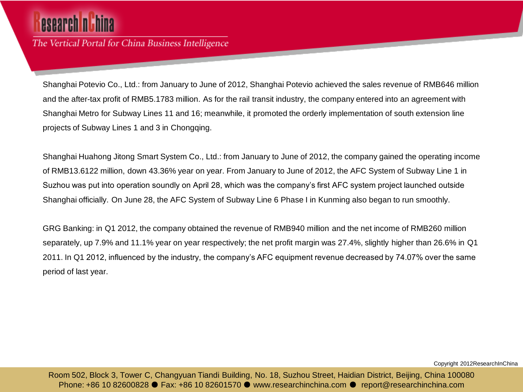# esearch n

The Vertical Portal for China Business Intelligence

Shanghai Potevio Co., Ltd.: from January to June of 2012, Shanghai Potevio achieved the sales revenue of RMB646 million and the after-tax profit of RMB5.1783 million. As for the rail transit industry, the company entered into an agreement with Shanghai Metro for Subway Lines 11 and 16; meanwhile, it promoted the orderly implementation of south extension line projects of Subway Lines 1 and 3 in Chongqing.

Shanghai Huahong Jitong Smart System Co., Ltd.: from January to June of 2012, the company gained the operating income of RMB13.6122 million, down 43.36% year on year. From January to June of 2012, the AFC System of Subway Line 1 in Suzhou was put into operation soundly on April 28, which was the company's first AFC system project launched outside Shanghai officially. On June 28, the AFC System of Subway Line 6 Phase I in Kunming also began to run smoothly.

GRG Banking: in Q1 2012, the company obtained the revenue of RMB940 million and the net income of RMB260 million separately, up 7.9% and 11.1% year on year respectively; the net profit margin was 27.4%, slightly higher than 26.6% in Q1 2011. In Q1 2012, influenced by the industry, the company's AFC equipment revenue decreased by 74.07% over the same period of last year.

Copyright 2012ResearchInChina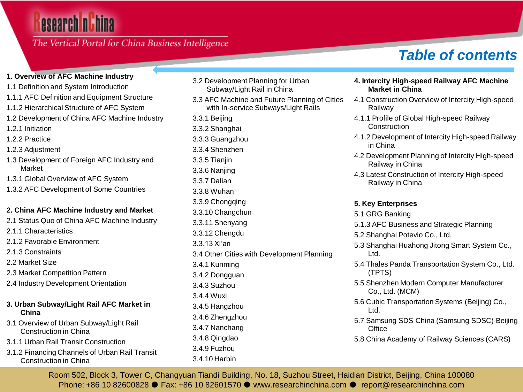### The Vertical Portal for China Business Intelligence

#### **1. Overview of AFC Machine Industry**

- 1.1 Definition and System Introduction
- 1.1.1 AFC Definition and Equipment Structure
- 1.1.2 Hierarchical Structure of AFC System
- 1.2 Development of China AFC Machine Industry
- 1.2.1 Initiation
- 1.2.2 Practice
- 1.2.3 Adjustment
- 1.3 Development of Foreign AFC Industry and Market
- 1.3.1 Global Overview of AFC System
- 1.3.2 AFC Development of Some Countries

#### **2. China AFC Machine Industry and Market**

- 2.1 Status Quo of China AFC Machine Industry
- 2.1.1 Characteristics
- 2.1.2 Favorable Environment
- 2.1.3 Constraints
- 2.2 Market Size
- 2.3 Market Competition Pattern
- 2.4 Industry Development Orientation

#### **3. Urban Subway/Light Rail AFC Market in China**

- 3.1 Overview of Urban Subway/Light Rail Construction in China
- 3.1.1 Urban Rail Transit Construction
- 3.1.2 Financing Channels of Urban Rail Transit Construction in China
- 3.2 Development Planning for Urban Subway/Light Rail in China
- 3.3 AFC Machine and Future Planning of Cities with In-service Subways/Light Rails
- 3.3.1 Beijing
- 3.3.2 Shanghai
- 3.3.3 Guangzhou
- 3.3.4 Shenzhen
- 3.3.5 Tianjin
- 3.3.6 Nanjing
- 3.3.7 Dalian
- 3.3.8 Wuhan
- 3.3.9 Chongqing
- 3.3.10 Changchun
- 3.3.11 Shenyang 3.3.12 Chengdu
- 3.3.13 Xi'an
- 
- 3.4 Other Cities with Development Planning 3.4.1 Kunming
- 3.4.2 Dongguan
- 3.4.3 Suzhou
- 3.4.4 Wuxi
- 3.4.5 Hangzhou
- 3.4.6 Zhengzhou
- 3.4.7 Nanchang
- 3.4.8 Qingdao
- 3.4.9 Fuzhou
- 3.4.10 Harbin

## *Table of contents*

- **4. Intercity High-speed Railway AFC Machine Market in China**
- 4.1 Construction Overview of Intercity High-speed Railway
- 4.1.1 Profile of Global High-speed Railway Construction
- 4.1.2 Development of Intercity High-speed Railway in China
- 4.2 Development Planning of Intercity High-speed Railway in China
- 4.3 Latest Construction of Intercity High-speed Railway in China

#### **5. Key Enterprises**

- 5.1 GRG Banking
- 5.1.3 AFC Business and Strategic Planning
- 5.2 Shanghai Potevio Co., Ltd.
- 5.3 Shanghai Huahong Jitong Smart System Co., Ltd.
- 5.4 Thales Panda Transportation System Co., Ltd. (TPTS)
- 5.5 Shenzhen Modern Computer Manufacturer Co., Ltd. (MCM)
- 5.6 Cubic Transportation Systems (Beijing) Co., Ltd.
- 5.7 Samsung SDS China (Samsung SDSC) Beijing **Office**
- 5.8 China Academy of Railway Sciences (CARS)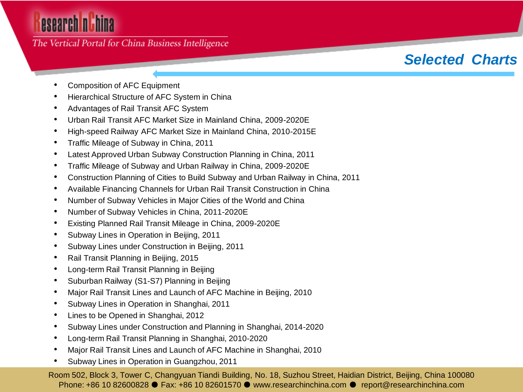### The Vertical Portal for China Business Intelligence

### *Selected Charts*

- Composition of AFC Equipment
- Hierarchical Structure of AFC System in China
- Advantages of Rail Transit AFC System
- Urban Rail Transit AFC Market Size in Mainland China, 2009-2020E
- High-speed Railway AFC Market Size in Mainland China, 2010-2015E
- Traffic Mileage of Subway in China, 2011
- Latest Approved Urban Subway Construction Planning in China, 2011
- Traffic Mileage of Subway and Urban Railway in China, 2009-2020E
- Construction Planning of Cities to Build Subway and Urban Railway in China, 2011
- Available Financing Channels for Urban Rail Transit Construction in China
- Number of Subway Vehicles in Major Cities of the World and China
- Number of Subway Vehicles in China, 2011-2020E
- Existing Planned Rail Transit Mileage in China, 2009-2020E
- Subway Lines in Operation in Beijing, 2011
- Subway Lines under Construction in Beijing, 2011
- Rail Transit Planning in Beijing, 2015
- Long-term Rail Transit Planning in Beijing
- Suburban Railway (S1-S7) Planning in Beijing
- Major Rail Transit Lines and Launch of AFC Machine in Beijing, 2010
- Subway Lines in Operation in Shanghai, 2011
- Lines to be Opened in Shanghai, 2012
- Subway Lines under Construction and Planning in Shanghai, 2014-2020
- Long-term Rail Transit Planning in Shanghai, 2010-2020
- Major Rail Transit Lines and Launch of AFC Machine in Shanghai, 2010
- Subway Lines in Operation in Guangzhou, 2011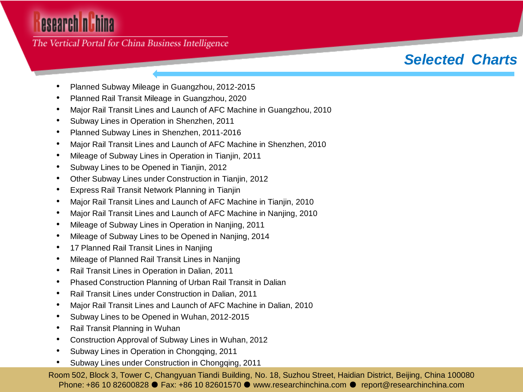#### The Vertical Portal for China Business Intelligence

### *Selected Charts*

- Planned Subway Mileage in Guangzhou, 2012-2015
- Planned Rail Transit Mileage in Guangzhou, 2020
- Major Rail Transit Lines and Launch of AFC Machine in Guangzhou, 2010
- Subway Lines in Operation in Shenzhen, 2011
- Planned Subway Lines in Shenzhen, 2011-2016
- Major Rail Transit Lines and Launch of AFC Machine in Shenzhen, 2010
- Mileage of Subway Lines in Operation in Tianjin, 2011
- Subway Lines to be Opened in Tianjin, 2012
- Other Subway Lines under Construction in Tianjin, 2012
- Express Rail Transit Network Planning in Tianjin
- Major Rail Transit Lines and Launch of AFC Machine in Tianjin, 2010
- Major Rail Transit Lines and Launch of AFC Machine in Nanjing, 2010
- Mileage of Subway Lines in Operation in Nanjing, 2011
- Mileage of Subway Lines to be Opened in Nanjing, 2014
- 17 Planned Rail Transit Lines in Nanjing
- Mileage of Planned Rail Transit Lines in Nanjing
- Rail Transit Lines in Operation in Dalian, 2011
- Phased Construction Planning of Urban Rail Transit in Dalian
- Rail Transit Lines under Construction in Dalian, 2011
- Major Rail Transit Lines and Launch of AFC Machine in Dalian, 2010
- Subway Lines to be Opened in Wuhan, 2012-2015
- Rail Transit Planning in Wuhan
- Construction Approval of Subway Lines in Wuhan, 2012
- Subway Lines in Operation in Chongqing, 2011
- Subway Lines under Construction in Chongqing, 2011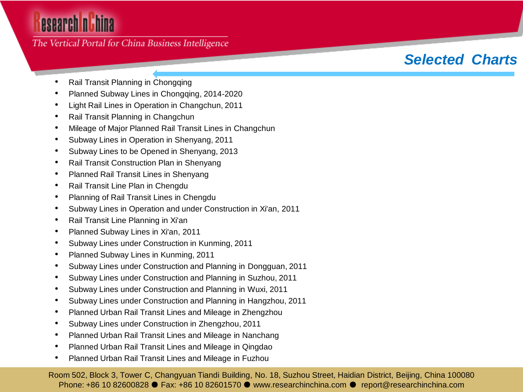### The Vertical Portal for China Business Intelligence

## *Selected Charts*

- Rail Transit Planning in Chongqing
- Planned Subway Lines in Chongqing, 2014-2020
- Light Rail Lines in Operation in Changchun, 2011
- Rail Transit Planning in Changchun
- Mileage of Major Planned Rail Transit Lines in Changchun
- Subway Lines in Operation in Shenyang, 2011
- Subway Lines to be Opened in Shenyang, 2013
- Rail Transit Construction Plan in Shenyang
- Planned Rail Transit Lines in Shenyang
- Rail Transit Line Plan in Chengdu
- Planning of Rail Transit Lines in Chengdu
- Subway Lines in Operation and under Construction in Xi'an, 2011
- Rail Transit Line Planning in Xi'an
- Planned Subway Lines in Xi'an, 2011
- Subway Lines under Construction in Kunming, 2011
- Planned Subway Lines in Kunming, 2011
- Subway Lines under Construction and Planning in Dongguan, 2011
- Subway Lines under Construction and Planning in Suzhou, 2011
- Subway Lines under Construction and Planning in Wuxi, 2011
- Subway Lines under Construction and Planning in Hangzhou, 2011
- Planned Urban Rail Transit Lines and Mileage in Zhengzhou
- Subway Lines under Construction in Zhengzhou, 2011
- Planned Urban Rail Transit Lines and Mileage in Nanchang
- Planned Urban Rail Transit Lines and Mileage in Qingdao
- Planned Urban Rail Transit Lines and Mileage in Fuzhou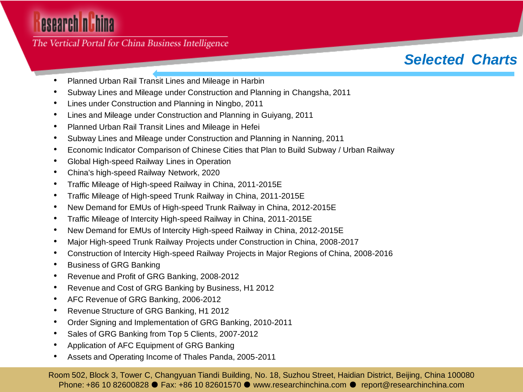The Vertical Portal for China Business Intelligence

### *Selected Charts*

- Planned Urban Rail Transit Lines and Mileage in Harbin
- Subway Lines and Mileage under Construction and Planning in Changsha, 2011
- Lines under Construction and Planning in Ningbo, 2011
- Lines and Mileage under Construction and Planning in Guiyang, 2011
- Planned Urban Rail Transit Lines and Mileage in Hefei
- Subway Lines and Mileage under Construction and Planning in Nanning, 2011
- Economic Indicator Comparison of Chinese Cities that Plan to Build Subway / Urban Railway
- Global High-speed Railway Lines in Operation
- China's high-speed Railway Network, 2020
- Traffic Mileage of High-speed Railway in China, 2011-2015E
- Traffic Mileage of High-speed Trunk Railway in China, 2011-2015E
- New Demand for EMUs of High-speed Trunk Railway in China, 2012-2015E
- Traffic Mileage of Intercity High-speed Railway in China, 2011-2015E
- New Demand for EMUs of Intercity High-speed Railway in China, 2012-2015E
- Major High-speed Trunk Railway Projects under Construction in China, 2008-2017
- Construction of Intercity High-speed Railway Projects in Major Regions of China, 2008-2016
- Business of GRG Banking
- Revenue and Profit of GRG Banking, 2008-2012
- Revenue and Cost of GRG Banking by Business, H1 2012
- AFC Revenue of GRG Banking, 2006-2012
- Revenue Structure of GRG Banking, H1 2012
- Order Signing and Implementation of GRG Banking, 2010-2011
- Sales of GRG Banking from Top 5 Clients, 2007-2012
- Application of AFC Equipment of GRG Banking
- Assets and Operating Income of Thales Panda, 2005-2011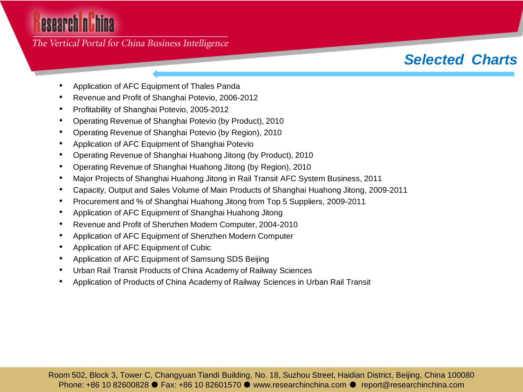The Vertical Portal for China Business Intelligence

## *Selected Charts*

- Application of AFC Equipment of Thales Panda
- Revenue and Profit of Shanghai Potevio, 2006-2012
- Profitability of Shanghai Potevio, 2005-2012
- Operating Revenue of Shanghai Potevio (by Product), 2010
- Operating Revenue of Shanghai Potevio (by Region), 2010
- Application of AFC Equipment of Shanghai Potevio
- Operating Revenue of Shanghai Huahong Jitong (by Product), 2010
- Operating Revenue of Shanghai Huahong Jitong (by Region), 2010
- Major Projects of Shanghai Huahong Jitong in Rail Transit AFC System Business, 2011
- Capacity, Output and Sales Volume of Main Products of Shanghai Huahong Jitong, 2009-2011
- Procurement and % of Shanghai Huahong Jitong from Top 5 Suppliers, 2009-2011
- Application of AFC Equipment of Shanghai Huahong Jitong
- Revenue and Profit of Shenzhen Modern Computer, 2004-2010
- Application of AFC Equipment of Shenzhen Modern Computer
- Application of AFC Equipment of Cubic
- Application of AFC Equipment of Samsung SDS Beijing
- Urban Rail Transit Products of China Academy of Railway Sciences
- Application of Products of China Academy of Railway Sciences in Urban Rail Transit